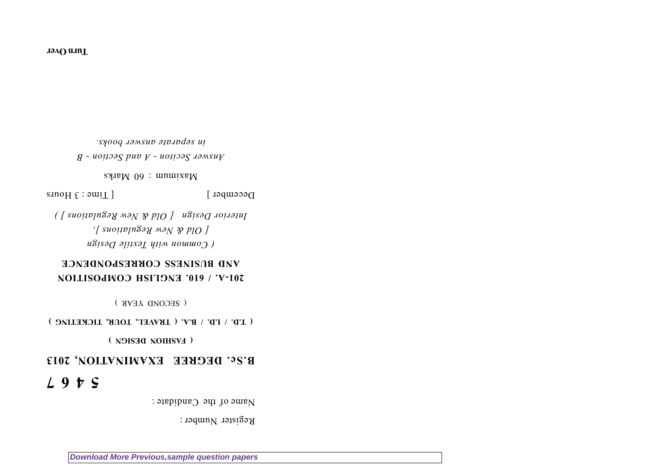Register Number :

Name of the Candidate :

# **5 4 6 7**

# **B.Sc. DEGREE EXAMINATION, 2013**

**( FASHION DESIGN )**

## **( T.D. / I.D. / B.A. ( TRAVEL, TOUR, TICKETING )**

( SECOND YEAR )

# **201-A. / 610. ENGLISH COMPOSITION AND BUSINESS CORRESPONDENCE**

*( Common with Textile Design [ Old & New Regulations ], Interior Design [ Old & New Regulations ] )*

 $D$ ecember  $[$  Time : 3 Hours

 $\text{S}$  Sylva Marks 00 Marks 00  $\mu$ 

*Answer Seciton - A and Section - B in separate answer books.*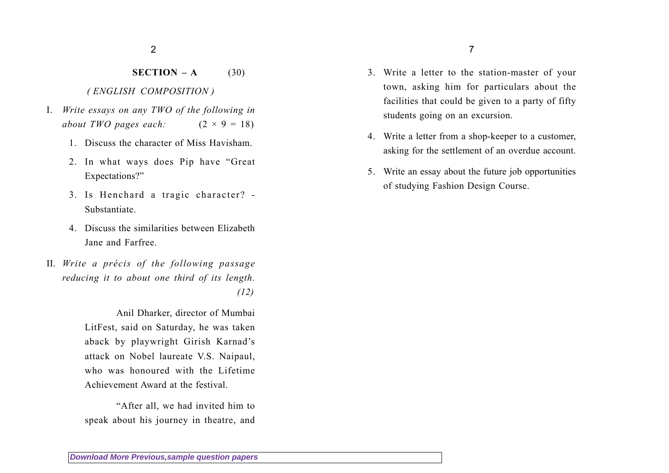#### **SECTION – A**(30)

### *( ENGLISH COMPOSITION )*

- I. *Write essays on any TWO of the following in about TWO pages each:*  $(2 \times 9 = 18)$ 
	- 1. Discuss the character of Miss Havisham.
	- 2. In what ways does Pip have "Great Expectations?"
	- 3. Is Henchard a tragic character? Substantiate.
	- 4. Discuss the similarities between ElizabethJane and Farfree.
- II. *Write a précis of the following passage reducing it to about one third of its length.*

*(12)*

Anil Dharker, director of Mumbai LitFest, said on Saturday, he was taken aback by playwright Girish Karnad's attack on Nobel laureate V.S. Naipaul, who was honoured with the LifetimeAchievement Award at the festival.

"After all, we had invited him to speak about his journey in theatre, and

- 3. Write a letter to the station-master of your town, asking him for particulars about the facilities that could be given to a party of fifty students going on an excursion.
- 4. Write a letter from a shop-keeper to a customer, asking for the settlement of an overdue account.
- 5. Write an essay about the future job opportunities of studying Fashion Design Course.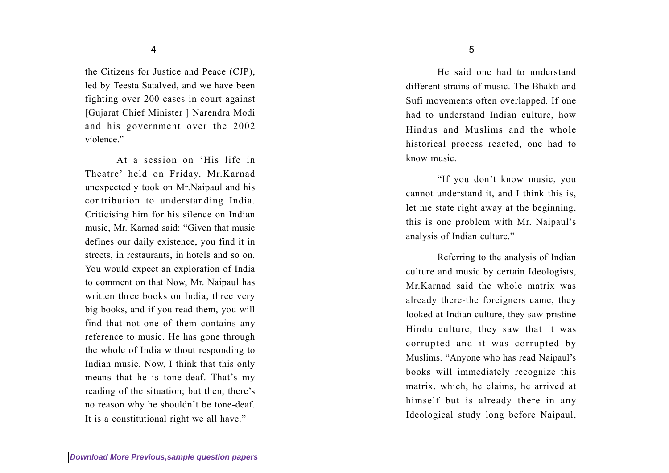the Citizens for Justice and Peace (CJP), led by Teesta Satalved, and we have been fighting over 200 cases in court against [Gujarat Chief Minister ] Narendra Modi and his government over the 2002 violence."

At a session on 'His life inTheatre' held on Friday, Mr.Karnad unexpectedly took on Mr.Naipaul and his contribution to understanding India. Criticising him for his silence on Indian music, Mr. Karnad said: "Given that music defines our daily existence, you find it in streets, in restaurants, in hotels and so on. You would expect an exploration of India to comment on that Now, Mr. Naipaul has written three books on India, three very big books, and if you read them, you will find that not one of them contains any reference to music. He has gone through the whole of India without responding to Indian music. Now, I think that this only means that he is tone-deaf. That's my reading of the situation; but then, there's no reason why he shouldn't be tone-deaf. It is a constitutional right we all have."

He said one had to understanddifferent strains of music. The Bhakti andSufi movements often overlapped. If one had to understand Indian culture, how Hindus and Muslims and the wholehistorical process reacted, one had to know music.

"If you don't know music, you cannot understand it, and I think this is, let me state right away at the beginning, this is one problem with Mr. Naipaul's analysis of Indian culture."

Referring to the analysis of Indian culture and music by certain Ideologists, Mr.Karnad said the whole matrix wasalready there-the foreigners came, they looked at Indian culture, they saw pristine Hindu culture, they saw that it was corrupted and it was corrupted by Muslims. "Anyone who has read Naipaul's books will immediately recognize this matrix, which, he claims, he arrived at himself but is already there in any Ideological study long before Naipaul,